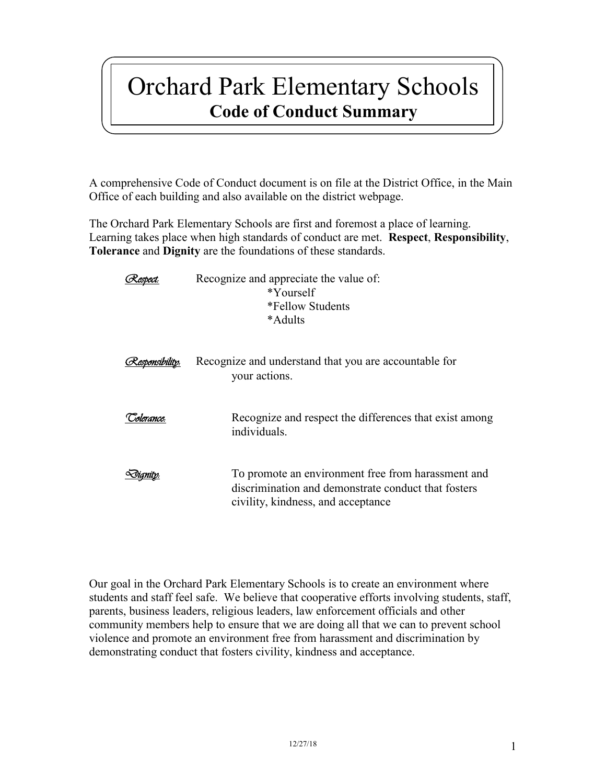# Orchard Park Elementary Schools **Code of Conduct Summary**

A comprehensive Code of Conduct document is on file at the District Office, in the Main Office of each building and also available on the district webpage.

The Orchard Park Elementary Schools are first and foremost a place of learning. Learning takes place when high standards of conduct are met. **Respect**, **Responsibility**, **Tolerance** and **Dignity** are the foundations of these standards.

|            | Recognize and appreciate the value of:<br>*Yourself<br>*Fellow Students<br>*Adults                                                              |
|------------|-------------------------------------------------------------------------------------------------------------------------------------------------|
|            | Recognize and understand that you are accountable for<br>your actions.                                                                          |
| solerance. | Recognize and respect the differences that exist among<br>individuals.                                                                          |
|            | To promote an environment free from harassment and<br>discrimination and demonstrate conduct that fosters<br>civility, kindness, and acceptance |

Our goal in the Orchard Park Elementary Schools is to create an environment where students and staff feel safe. We believe that cooperative efforts involving students, staff, parents, business leaders, religious leaders, law enforcement officials and other community members help to ensure that we are doing all that we can to prevent school violence and promote an environment free from harassment and discrimination by demonstrating conduct that fosters civility, kindness and acceptance.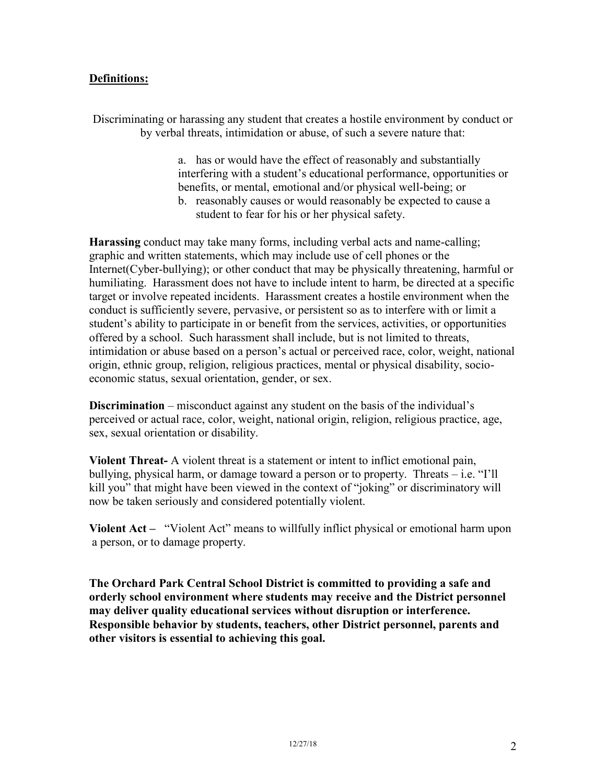## **Definitions:**

Discriminating or harassing any student that creates a hostile environment by conduct or by verbal threats, intimidation or abuse, of such a severe nature that:

> a. has or would have the effect of reasonably and substantially interfering with a student's educational performance, opportunities or benefits, or mental, emotional and/or physical well-being; or

b. reasonably causes or would reasonably be expected to cause a student to fear for his or her physical safety.

**Harassing** conduct may take many forms, including verbal acts and name-calling; graphic and written statements, which may include use of cell phones or the Internet(Cyber-bullying); or other conduct that may be physically threatening, harmful or humiliating. Harassment does not have to include intent to harm, be directed at a specific target or involve repeated incidents. Harassment creates a hostile environment when the conduct is sufficiently severe, pervasive, or persistent so as to interfere with or limit a student's ability to participate in or benefit from the services, activities, or opportunities offered by a school. Such harassment shall include, but is not limited to threats, intimidation or abuse based on a person's actual or perceived race, color, weight, national origin, ethnic group, religion, religious practices, mental or physical disability, socioeconomic status, sexual orientation, gender, or sex.

**Discrimination** – misconduct against any student on the basis of the individual's perceived or actual race, color, weight, national origin, religion, religious practice, age, sex, sexual orientation or disability.

**Violent Threat-** A violent threat is a statement or intent to inflict emotional pain, bullying, physical harm, or damage toward a person or to property. Threats – i.e. "I'll kill you" that might have been viewed in the context of "joking" or discriminatory will now be taken seriously and considered potentially violent.

**Violent Act –** "Violent Act" means to willfully inflict physical or emotional harm upon a person, or to damage property.

**The Orchard Park Central School District is committed to providing a safe and orderly school environment where students may receive and the District personnel may deliver quality educational services without disruption or interference. Responsible behavior by students, teachers, other District personnel, parents and other visitors is essential to achieving this goal.**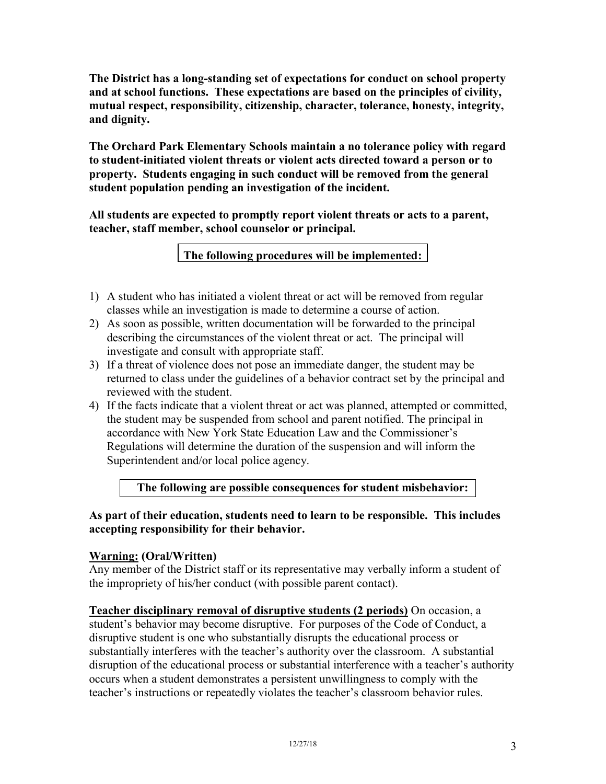**The District has a long-standing set of expectations for conduct on school property and at school functions. These expectations are based on the principles of civility, mutual respect, responsibility, citizenship, character, tolerance, honesty, integrity, and dignity.**

**The Orchard Park Elementary Schools maintain a no tolerance policy with regard to student-initiated violent threats or violent acts directed toward a person or to property. Students engaging in such conduct will be removed from the general student population pending an investigation of the incident.**

**All students are expected to promptly report violent threats or acts to a parent, teacher, staff member, school counselor or principal.**

**The following procedures will be implemented:**

- 1) A student who has initiated a violent threat or act will be removed from regular classes while an investigation is made to determine a course of action.
- 2) As soon as possible, written documentation will be forwarded to the principal describing the circumstances of the violent threat or act. The principal will investigate and consult with appropriate staff.
- 3) If a threat of violence does not pose an immediate danger, the student may be returned to class under the guidelines of a behavior contract set by the principal and reviewed with the student.
- 4) If the facts indicate that a violent threat or act was planned, attempted or committed, the student may be suspended from school and parent notified. The principal in accordance with New York State Education Law and the Commissioner's Regulations will determine the duration of the suspension and will inform the Superintendent and/or local police agency.

**The following are possible consequences for student misbehavior:**

**As part of their education, students need to learn to be responsible. This includes accepting responsibility for their behavior.** 

# **Warning: (Oral/Written)**

Any member of the District staff or its representative may verbally inform a student of the impropriety of his/her conduct (with possible parent contact).

**Teacher disciplinary removal of disruptive students (2 periods)** On occasion, a student's behavior may become disruptive. For purposes of the Code of Conduct, a disruptive student is one who substantially disrupts the educational process or substantially interferes with the teacher's authority over the classroom. A substantial disruption of the educational process or substantial interference with a teacher's authority occurs when a student demonstrates a persistent unwillingness to comply with the teacher's instructions or repeatedly violates the teacher's classroom behavior rules.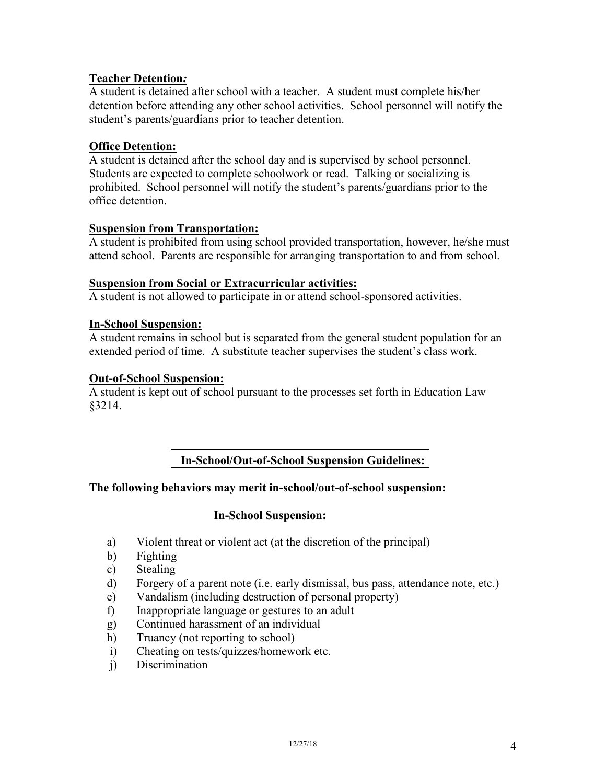## **Teacher Detention***:*

A student is detained after school with a teacher. A student must complete his/her detention before attending any other school activities. School personnel will notify the student's parents/guardians prior to teacher detention.

## **Office Detention:**

A student is detained after the school day and is supervised by school personnel. Students are expected to complete schoolwork or read. Talking or socializing is prohibited. School personnel will notify the student's parents/guardians prior to the office detention.

#### **Suspension from Transportation:**

A student is prohibited from using school provided transportation, however, he/she must attend school. Parents are responsible for arranging transportation to and from school.

#### **Suspension from Social or Extracurricular activities:**

A student is not allowed to participate in or attend school-sponsored activities.

#### **In-School Suspension:**

A student remains in school but is separated from the general student population for an extended period of time. A substitute teacher supervises the student's class work.

#### **Out-of-School Suspension:**

A student is kept out of school pursuant to the processes set forth in Education Law §3214.

# **In-School/Out-of-School Suspension Guidelines:**

## **The following behaviors may merit in-school/out-of-school suspension:**

## **In-School Suspension:**

- a) Violent threat or violent act (at the discretion of the principal)
- b) Fighting
- c) Stealing
- d) Forgery of a parent note (i.e. early dismissal, bus pass, attendance note, etc.)
- e) Vandalism (including destruction of personal property)
- f) Inappropriate language or gestures to an adult
- g) Continued harassment of an individual
- h) Truancy (not reporting to school)
- i) Cheating on tests/quizzes/homework etc.
- j) Discrimination